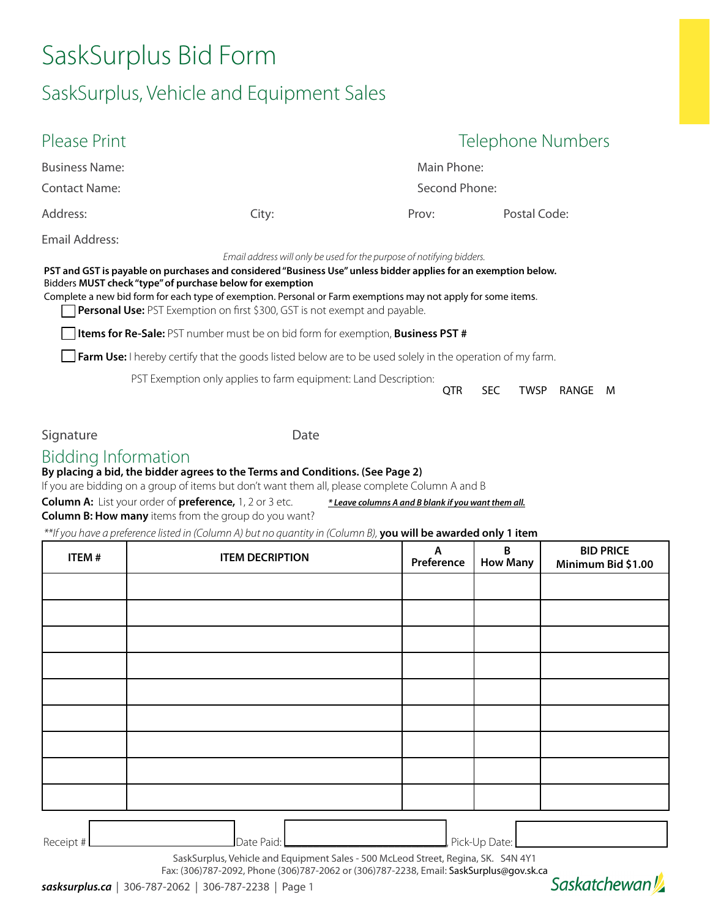# SaskSurplus Bid Form

# SaskSurplus, Vehicle and Equipment Sales

| Please Print                                              |                                                                                                                                                                                                                                                                                                                                                                                                                                                                                                                                                                                                               | Telephone Numbers |                   |              |       |   |  |
|-----------------------------------------------------------|---------------------------------------------------------------------------------------------------------------------------------------------------------------------------------------------------------------------------------------------------------------------------------------------------------------------------------------------------------------------------------------------------------------------------------------------------------------------------------------------------------------------------------------------------------------------------------------------------------------|-------------------|-------------------|--------------|-------|---|--|
| <b>Business Name:</b>                                     |                                                                                                                                                                                                                                                                                                                                                                                                                                                                                                                                                                                                               | Main Phone:       |                   |              |       |   |  |
| Contact Name:                                             |                                                                                                                                                                                                                                                                                                                                                                                                                                                                                                                                                                                                               | Second Phone:     |                   |              |       |   |  |
| Address:                                                  | City:                                                                                                                                                                                                                                                                                                                                                                                                                                                                                                                                                                                                         | Prov:             |                   | Postal Code: |       |   |  |
| Email Address:                                            |                                                                                                                                                                                                                                                                                                                                                                                                                                                                                                                                                                                                               |                   |                   |              |       |   |  |
| Bidders MUST check "type" of purchase below for exemption | PST and GST is payable on purchases and considered "Business Use" unless bidder applies for an exemption below.<br>Complete a new bid form for each type of exemption. Personal or Farm exemptions may not apply for some items.<br><b>Personal Use:</b> PST Exemption on first \$300, GST is not exempt and payable.<br><b>Items for Re-Sale:</b> PST number must be on bid form for exemption, <b>Business PST</b> #<br><b>Farm Use:</b> I hereby certify that the goods listed below are to be used solely in the operation of my farm.<br>PST Exemption only applies to farm equipment: Land Description: |                   |                   |              |       |   |  |
|                                                           |                                                                                                                                                                                                                                                                                                                                                                                                                                                                                                                                                                                                               |                   | QTR<br><b>SEC</b> | TWSP         | RANGE | M |  |

Signature Date

### Bidding Information

#### **By placing a bid, the bidder agrees to the Terms and Conditions. (See Page 2)**

If you are bidding on a group of items but don't want them all, please complete Column A and B

| <b>Column A:</b> List your order of <b>preference,</b> 1, 2 or 3 etc. | * Leave columns A and B blank if you want them all. |
|-----------------------------------------------------------------------|-----------------------------------------------------|
| <b>Column B: How many</b> items from the group do you want?           |                                                     |

 *\*\*If you have a preference listed in (Column A) but no quantity in (Column B),* **you will be awarded only 1 item**

| ITEM# | <b>ITEM DECRIPTION</b> | $\mathsf{A}$<br>Preference | B<br><b>How Many</b> | <b>BID PRICE</b><br>Minimum Bid \$1.00 |  |
|-------|------------------------|----------------------------|----------------------|----------------------------------------|--|
|       |                        |                            |                      |                                        |  |
|       |                        |                            |                      |                                        |  |
|       |                        |                            |                      |                                        |  |
|       |                        |                            |                      |                                        |  |
|       |                        |                            |                      |                                        |  |
|       |                        |                            |                      |                                        |  |
|       |                        |                            |                      |                                        |  |
|       |                        |                            |                      |                                        |  |
|       |                        |                            |                      |                                        |  |
|       |                        |                            |                      |                                        |  |

Receipt # Date Paid: \_\_\_\_\_\_\_\_\_\_\_\_\_\_\_\_\_\_\_\_\_\_\_\_\_\_\_\_, Pick-Up Date: \_\_\_\_\_\_\_\_\_\_\_\_\_\_\_\_\_\_\_\_\_\_\_\_\_\_

SaskSurplus, Vehicle and Equipment Sales - 500 McLeod Street, Regina, SK. S4N 4Y1

Fax: (306)787-2092, Phone (306)787-2062 or (306)787-2238, Email: [SaskSurplus@gov.sk.ca](mailto:SaskSurplus%40gov.sk.ca?subject=)